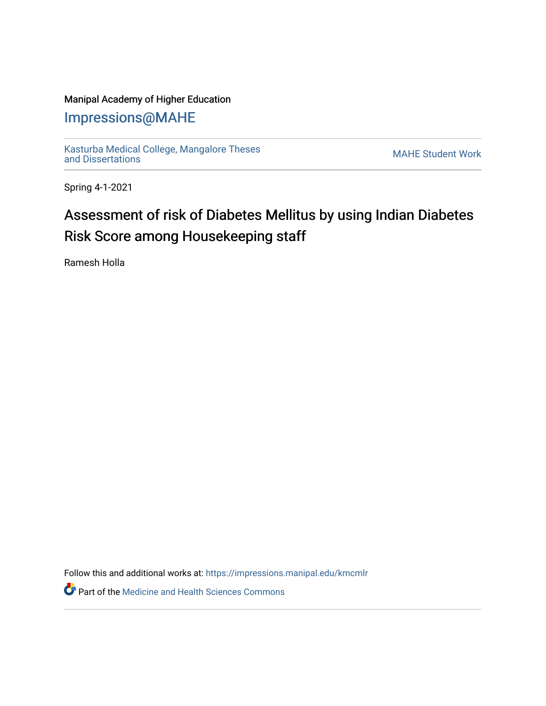### Manipal Academy of Higher Education

## [Impressions@MAHE](https://impressions.manipal.edu/)

[Kasturba Medical College, Mangalore Theses](https://impressions.manipal.edu/kmcmlr) [and Dissertations](https://impressions.manipal.edu/kmcmlr) [MAHE Student Work](https://impressions.manipal.edu/student-work) 

Spring 4-1-2021

# Assessment of risk of Diabetes Mellitus by using Indian Diabetes Risk Score among Housekeeping staff

Ramesh Holla

Follow this and additional works at: [https://impressions.manipal.edu/kmcmlr](https://impressions.manipal.edu/kmcmlr?utm_source=impressions.manipal.edu%2Fkmcmlr%2F56&utm_medium=PDF&utm_campaign=PDFCoverPages) 

**Part of the Medicine and Health Sciences Commons**